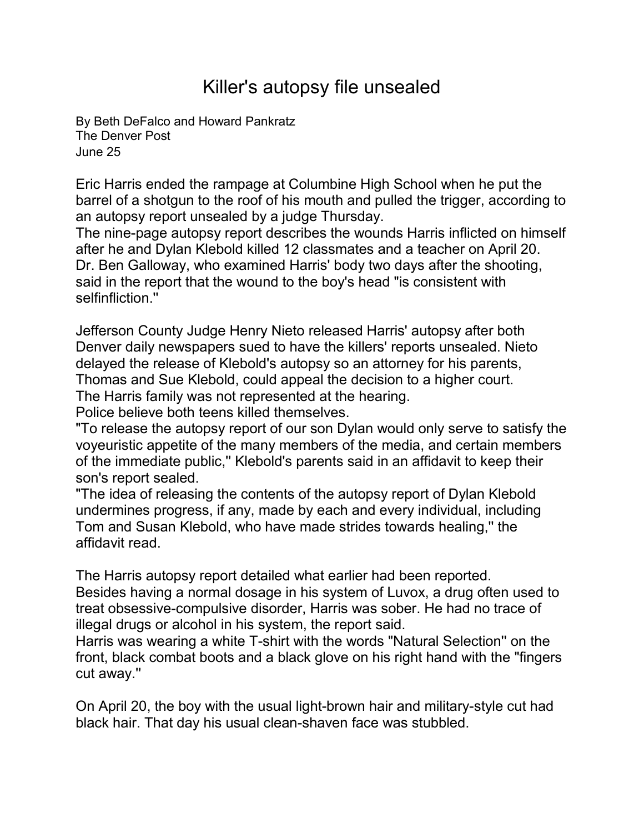## Killer's autopsy file unsealed

By [Beth DeFalco and Howard Pankratz](mailto:newsroom@denverpost.com) The Denver Post June 25

Eric Harris ended the rampage at Columbine High School when he put the barrel of a shotgun to the roof of his mouth and pulled the trigger, according to an autopsy report unsealed by a judge Thursday.

The nine-page autopsy report describes the wounds Harris inflicted on himself after he and Dylan Klebold killed 12 classmates and a teacher on April 20. Dr. Ben Galloway, who examined Harris' body two days after the shooting, said in the report that the wound to the boy's head "is consistent with selfinfliction."

Jefferson County Judge Henry Nieto released Harris' autopsy after both Denver daily newspapers sued to have the killers' reports unsealed. Nieto delayed the release of Klebold's autopsy so an attorney for his parents, Thomas and Sue Klebold, could appeal the decision to a higher court. The Harris family was not represented at the hearing.

Police believe both teens killed themselves.

"To release the autopsy report of our son Dylan would only serve to satisfy the voyeuristic appetite of the many members of the media, and certain members of the immediate public,'' Klebold's parents said in an affidavit to keep their son's report sealed.

"The idea of releasing the contents of the autopsy report of Dylan Klebold undermines progress, if any, made by each and every individual, including Tom and Susan Klebold, who have made strides towards healing,'' the affidavit read.

The Harris autopsy report detailed what earlier had been reported. Besides having a normal dosage in his system of Luvox, a drug often used to treat obsessive-compulsive disorder, Harris was sober. He had no trace of illegal drugs or alcohol in his system, the report said.

Harris was wearing a white T-shirt with the words "Natural Selection'' on the front, black combat boots and a black glove on his right hand with the "fingers cut away.''

On April 20, the boy with the usual light-brown hair and military-style cut had black hair. That day his usual clean-shaven face was stubbled.